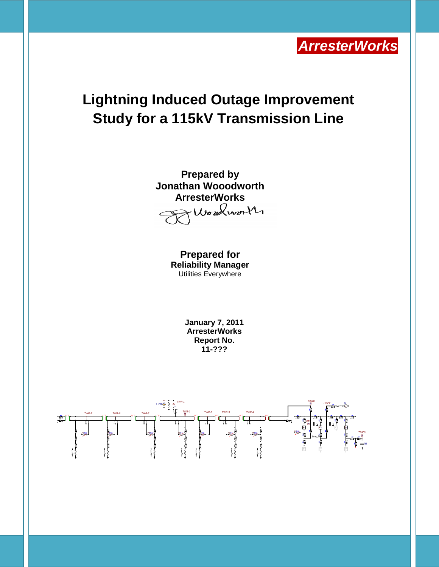

# **Lightning Induced Outage Improvement Study for a 115kV Transmission Line**



**Prepared for Reliability Manager** Utilities Everywhere

> **January 7, 2011 ArresterWorks Report No. 11-???**

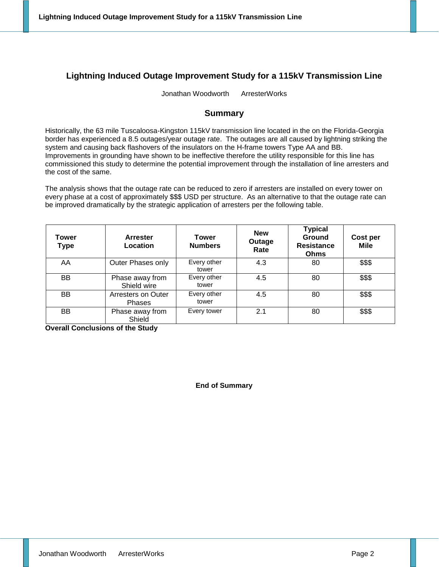## **Lightning Induced Outage Improvement Study for a 115kV Transmission Line**

Jonathan Woodworth ArresterWorks

## **Summary**

Historically, the 63 mile Tuscaloosa-Kingston 115kV transmission line located in the on the Florida-Georgia border has experienced a 8.5 outages/year outage rate. The outages are all caused by lightning striking the system and causing back flashovers of the insulators on the H-frame towers Type AA and BB. Improvements in grounding have shown to be ineffective therefore the utility responsible for this line has commissioned this study to determine the potential improvement through the installation of line arresters and the cost of the same.

The analysis shows that the outage rate can be reduced to zero if arresters are installed on every tower on every phase at a cost of approximately \$\$\$ USD per structure. As an alternative to that the outage rate can be improved dramatically by the strategic application of arresters per the following table.

| Tower<br><b>Type</b> | <b>Arrester</b><br>Location         | Tower<br><b>Numbers</b> | <b>New</b><br>Outage<br>Rate | <b>Typical</b><br><b>Ground</b><br><b>Resistance</b><br><b>Ohms</b> | Cost per<br><b>Mile</b> |
|----------------------|-------------------------------------|-------------------------|------------------------------|---------------------------------------------------------------------|-------------------------|
| AA                   | Outer Phases only                   | Every other<br>tower    | 4.3                          | 80                                                                  | \$\$\$                  |
| <b>BB</b>            | Phase away from<br>Shield wire      | Every other<br>tower    | 4.5                          | 80                                                                  | \$\$\$                  |
| <b>BB</b>            | Arresters on Outer<br><b>Phases</b> | Every other<br>tower    | 4.5                          | 80                                                                  | \$\$\$                  |
| <b>BB</b>            | Phase away from<br>Shield           | Every tower             | 2.1                          | 80                                                                  | \$\$\$                  |

**Overall Conclusions of the Study**

#### **End of Summary**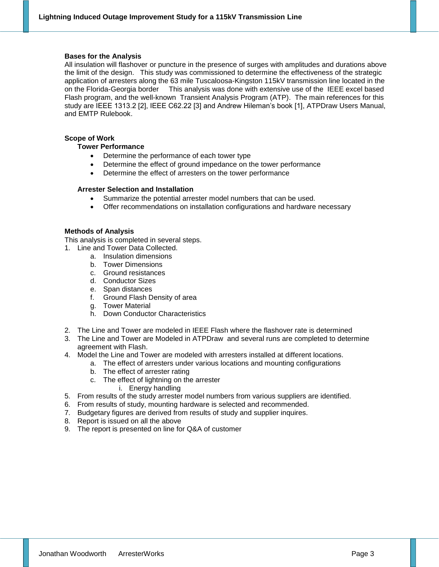#### **Bases for the Analysis**

All insulation will flashover or puncture in the presence of surges with amplitudes and durations above the limit of the design. This study was commissioned to determine the effectiveness of the strategic application of arresters along the 63 mile Tuscaloosa-Kingston 115kV transmission line located in the on the Florida-Georgia border This analysis was done with extensive use of the IEEE excel based Flash program, and the well-known Transient Analysis Program (ATP). The main references for this study are IEEE 1313.2 [2], IEEE C62.22 [3] and Andrew Hileman's book [1], ATPDraw Users Manual, and EMTP Rulebook.

#### **Scope of Work**

#### **Tower Performance**

- Determine the performance of each tower type
- Determine the effect of ground impedance on the tower performance
- Determine the effect of arresters on the tower performance

#### **Arrester Selection and Installation**

- Summarize the potential arrester model numbers that can be used.
- Offer recommendations on installation configurations and hardware necessary

#### **Methods of Analysis**

This analysis is completed in several steps.

- 1. Line and Tower Data Collected.
	- a. Insulation dimensions
	- b. Tower Dimensions
	- c. Ground resistances
	- d. Conductor Sizes
	- e. Span distances
	- f. Ground Flash Density of area
	- g. Tower Material
	- h. Down Conductor Characteristics
- 2. The Line and Tower are modeled in IEEE Flash where the flashover rate is determined
- 3. The Line and Tower are Modeled in ATPDraw and several runs are completed to determine agreement with Flash.
- 4. Model the Line and Tower are modeled with arresters installed at different locations.
	- a. The effect of arresters under various locations and mounting configurations
		- b. The effect of arrester rating
		- c. The effect of lightning on the arrester
			- i. Energy handling
- 5. From results of the study arrester model numbers from various suppliers are identified.
- 6. From results of study, mounting hardware is selected and recommended.
- 7. Budgetary figures are derived from results of study and supplier inquires.
- 8. Report is issued on all the above
- 9. The report is presented on line for Q&A of customer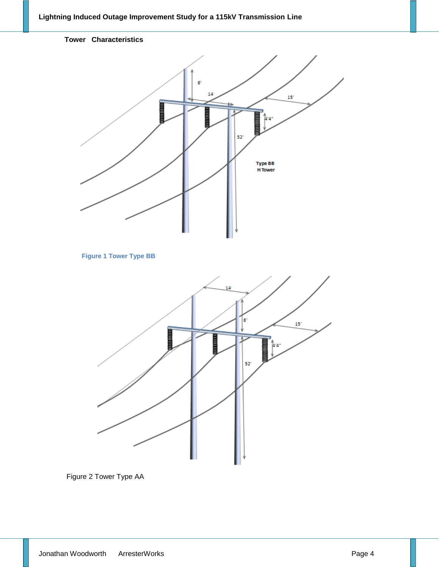

Figure 2 Tower Type AA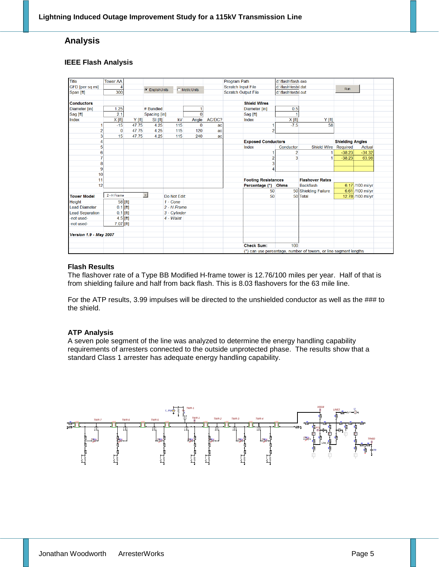## **Analysis**

#### **IEEE Flash Analysis**

| Title                         | <b>Tower AA</b> |            |                                         |              |                |                           | <b>Program Path</b>        |                                                                   | d:\flash\flash.exe      |                      |          |                  |  |  |  |
|-------------------------------|-----------------|------------|-----------------------------------------|--------------|----------------|---------------------------|----------------------------|-------------------------------------------------------------------|-------------------------|----------------------|----------|------------------|--|--|--|
| GFD [per sq mi]               |                 |            | C EnglishUnits<br><b>C</b> Metric Units |              |                | <b>Scratch Input File</b> |                            | d:\flash\testxl.dat                                               |                         | Run                  |          |                  |  |  |  |
| Span [ft]                     | 300             |            |                                         |              |                |                           | <b>Scratch Output File</b> |                                                                   | d:\flash\testxl.out     |                      |          |                  |  |  |  |
|                               |                 |            |                                         |              |                |                           |                            |                                                                   |                         |                      |          |                  |  |  |  |
| <b>Conductors</b>             |                 |            |                                         |              |                |                           |                            | <b>Shield Wires</b>                                               |                         |                      |          |                  |  |  |  |
| Diameter [in]                 | 1.25            |            | # Bundled                               |              | 1              |                           |                            | Diameter [in]                                                     | 0.5                     |                      |          |                  |  |  |  |
| Sag [ft]                      | 2.1             |            | Spacing [in]                            |              | $\overline{0}$ |                           |                            | Sag [ft]                                                          |                         |                      |          |                  |  |  |  |
| Index                         | $X$ [ft]        | Y [ft]     | $SI$ [ft]                               | kV           | Angle          | AC/DC?                    |                            | Index                                                             | X[ft]                   | $Y$ [ft]             |          |                  |  |  |  |
|                               | $-15$           | 47.75      | 4.25                                    | 115          | $\Omega$       | ac                        |                            |                                                                   | $-7.5$                  | 58                   |          |                  |  |  |  |
|                               | $\bf{0}$        | 47.75      | 4.25                                    | 115          | 120            | ac                        |                            | 2                                                                 |                         |                      |          |                  |  |  |  |
|                               | 15              | 47.75      | 4.25                                    | 115          | 240            | ac                        |                            |                                                                   |                         |                      |          |                  |  |  |  |
|                               |                 |            |                                         |              |                | <b>Exposed Conductors</b> |                            |                                                                   | <b>Shielding Angles</b> |                      |          |                  |  |  |  |
|                               |                 |            |                                         |              |                |                           |                            | Index                                                             | Conductor               | <b>Shield Wire</b>   | Required | Actual           |  |  |  |
|                               |                 |            |                                         |              |                |                           |                            |                                                                   | $\overline{2}$          |                      | $-38.23$ | $-34.32$         |  |  |  |
|                               |                 |            |                                         |              |                |                           |                            | 2                                                                 | 3                       |                      | $-38.23$ | 63.98            |  |  |  |
| 8                             |                 |            |                                         |              |                |                           |                            |                                                                   |                         |                      |          |                  |  |  |  |
| 9                             |                 |            |                                         |              |                |                           |                            | Δ                                                                 |                         |                      |          |                  |  |  |  |
| 10                            |                 |            |                                         |              |                |                           |                            |                                                                   |                         |                      |          |                  |  |  |  |
| 11                            |                 |            |                                         |              |                |                           |                            | <b>Footing Resistances</b>                                        | <b>Flashover Rates</b>  |                      |          |                  |  |  |  |
| 12                            |                 |            |                                         |              |                |                           |                            | Percentage (*)                                                    | <b>Ohms</b>             | <b>Backflash</b>     |          | 6.17 /100 mi/yr  |  |  |  |
|                               |                 |            |                                         |              |                |                           |                            | 50                                                                |                         | 50 Shielding Failure |          | 6.61 /100 mi/yr  |  |  |  |
| <b>Tower Model</b>            | 2 - H Frame     |            | $\overline{ }$                          | Do Not Edit: |                |                           |                            | 50                                                                |                         | 50 Total             |          | 12.78 /100 mi/yr |  |  |  |
| Height                        |                 | 58 [ft]    |                                         | $1 - Cone$   |                |                           |                            |                                                                   |                         |                      |          |                  |  |  |  |
| <b>Lead Diameter</b>          | $0.1$ [ft]      |            |                                         | 2 - H Frame  |                |                           |                            |                                                                   |                         |                      |          |                  |  |  |  |
| <b>Lead Separation</b>        |                 | $0.1$ [ft] |                                         | 3 - Cylinder |                |                           |                            |                                                                   |                         |                      |          |                  |  |  |  |
| -not used-                    |                 | $4.5$ [ft] |                                         | 4 - Waist    |                |                           |                            |                                                                   |                         |                      |          |                  |  |  |  |
| -not used-                    | $7.07$ [ft]     |            |                                         |              |                |                           |                            |                                                                   |                         |                      |          |                  |  |  |  |
|                               |                 |            |                                         |              |                |                           |                            |                                                                   |                         |                      |          |                  |  |  |  |
| <b>Version 1.9 - May 2007</b> |                 |            |                                         |              |                |                           |                            |                                                                   |                         |                      |          |                  |  |  |  |
|                               |                 |            |                                         |              |                |                           |                            |                                                                   |                         |                      |          |                  |  |  |  |
|                               |                 |            |                                         |              |                |                           |                            | <b>Check Sum:</b>                                                 | 100                     |                      |          |                  |  |  |  |
|                               |                 |            |                                         |              |                |                           |                            | (*) can use percentage, number of towers, or line segment lengths |                         |                      |          |                  |  |  |  |

#### **Flash Results**

The flashover rate of a Type BB Modified H-frame tower is 12.76/100 miles per year. Half of that is from shielding failure and half from back flash. This is 8.03 flashovers for the 63 mile line.

For the ATP results, 3.99 impulses will be directed to the unshielded conductor as well as the ### to the shield.

#### **ATP Analysis**

A seven pole segment of the line was analyzed to determine the energy handling capability requirements of arresters connected to the outside unprotected phase. The results show that a standard Class 1 arrester has adequate energy handling capability.

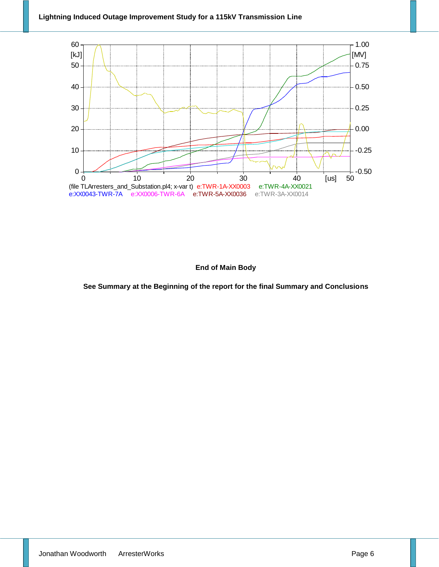

### **End of Main Body**

**See Summary at the Beginning of the report for the final Summary and Conclusions**